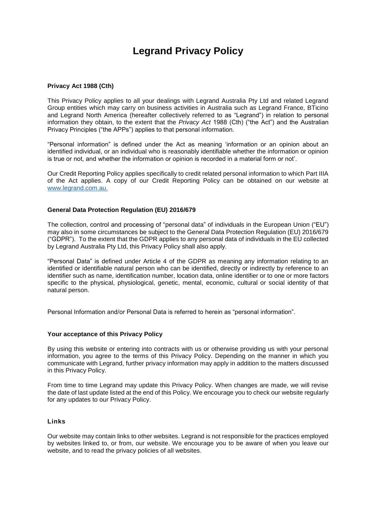# **Legrand Privacy Policy**

#### **Privacy Act 1988 (Cth)**

This Privacy Policy applies to all your dealings with Legrand Australia Pty Ltd and related Legrand Group entities which may carry on business activities in Australia such as Legrand France, BTicino and Legrand North America (hereafter collectively referred to as "Legrand") in relation to personal information they obtain, to the extent that the *Privacy Act* 1988 (Cth) ("the Act") and the Australian Privacy Principles ("the APPs") applies to that personal information.

"Personal information" is defined under the Act as meaning 'information or an opinion about an identified individual, or an individual who is reasonably identifiable whether the information or opinion is true or not, and whether the information or opinion is recorded in a material form or not'.

Our Credit Reporting Policy applies specifically to credit related personal information to which Part IIIA of the Act applies. A copy of our Credit Reporting Policy can be obtained on our website at [www.legrand.com.au.](http://www.legrand.com.au/)

#### **General Data Protection Regulation (EU) 2016/679**

The collection, control and processing of "personal data" of individuals in the European Union ("EU") may also in some circumstances be subject to the General Data Protection Regulation (EU) 2016/679 ("GDPR"). To the extent that the GDPR applies to any personal data of individuals in the EU collected by Legrand Australia Pty Ltd, this Privacy Policy shall also apply.

"Personal Data" is defined under Article 4 of the GDPR as meaning any information relating to an identified or identifiable natural person who can be identified, directly or indirectly by reference to an identifier such as name, identification number, location data, online identifier or to one or more factors specific to the physical, physiological, genetic, mental, economic, cultural or social identity of that natural person.

Personal Information and/or Personal Data is referred to herein as "personal information".

#### **Your acceptance of this Privacy Policy**

By using this website or entering into contracts with us or otherwise providing us with your personal information, you agree to the terms of this Privacy Policy. Depending on the manner in which you communicate with Legrand, further privacy information may apply in addition to the matters discussed in this Privacy Policy.

From time to time Legrand may update this Privacy Policy. When changes are made, we will revise the date of last update listed at the end of this Policy. We encourage you to check our website regularly for any updates to our Privacy Policy.

#### **Links**

Our website may contain links to other websites. Legrand is not responsible for the practices employed by websites linked to, or from, our website. We encourage you to be aware of when you leave our website, and to read the privacy policies of all websites.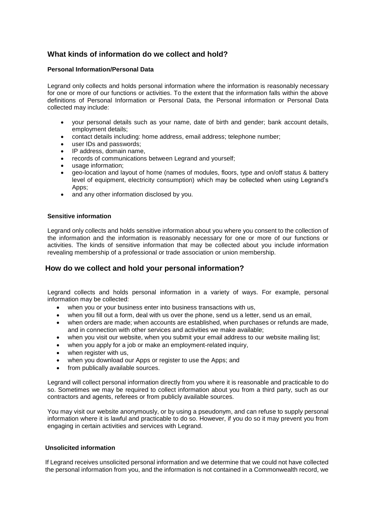## **What kinds of information do we collect and hold?**

#### **Personal Information/Personal Data**

Legrand only collects and holds personal information where the information is reasonably necessary for one or more of our functions or activities. To the extent that the information falls within the above definitions of Personal Information or Personal Data, the Personal information or Personal Data collected may include:

- your personal details such as your name, date of birth and gender; bank account details, employment details;
- contact details including: home address, email address; telephone number;
- user IDs and passwords;
- IP address, domain name,
- records of communications between Legrand and yourself;
- usage information:
- geo-location and layout of home (names of modules, floors, type and on/off status & battery level of equipment, electricity consumption) which may be collected when using Legrand's Apps;
- and any other information disclosed by you.

#### **Sensitive information**

Legrand only collects and holds sensitive information about you where you consent to the collection of the information and the information is reasonably necessary for one or more of our functions or activities. The kinds of sensitive information that may be collected about you include information revealing membership of a professional or trade association or union membership.

## **How do we collect and hold your personal information?**

Legrand collects and holds personal information in a variety of ways. For example, personal information may be collected:

- when you or your business enter into business transactions with us,
- when you fill out a form, deal with us over the phone, send us a letter, send us an email,
- when orders are made; when accounts are established, when purchases or refunds are made, and in connection with other services and activities we make available;
- when you visit our website, when you submit your email address to our website mailing list;
- when you apply for a job or make an employment-related inquiry,
- when register with us,
- when you download our Apps or register to use the Apps; and
- from publically available sources.

Legrand will collect personal information directly from you where it is reasonable and practicable to do so. Sometimes we may be required to collect information about you from a third party, such as our contractors and agents, referees or from publicly available sources.

You may visit our website anonymously, or by using a pseudonym, and can refuse to supply personal information where it is lawful and practicable to do so. However, if you do so it may prevent you from engaging in certain activities and services with Legrand.

#### **Unsolicited information**

If Legrand receives unsolicited personal information and we determine that we could not have collected the personal information from you, and the information is not contained in a Commonwealth record, we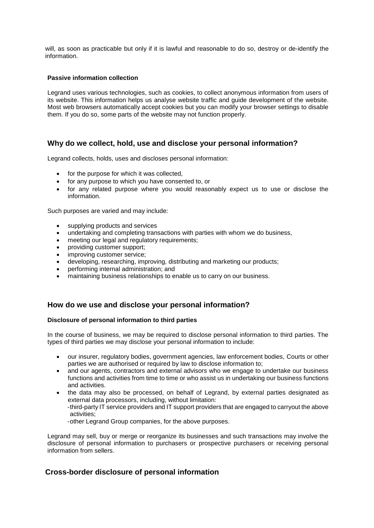will, as soon as practicable but only if it is lawful and reasonable to do so, destroy or de-identify the information.

#### **Passive information collection**

Legrand uses various technologies, such as cookies, to collect anonymous information from users of its website. This information helps us analyse website traffic and guide development of the website. Most web browsers automatically accept cookies but you can modify your browser settings to disable them. If you do so, some parts of the website may not function properly.

## **Why do we collect, hold, use and disclose your personal information?**

Legrand collects, holds, uses and discloses personal information:

- for the purpose for which it was collected,
- for any purpose to which you have consented to, or
- for any related purpose where you would reasonably expect us to use or disclose the information.

Such purposes are varied and may include:

- supplying products and services
- undertaking and completing transactions with parties with whom we do business,
- meeting our legal and regulatory requirements;
- providing customer support;
- improving customer service;
- developing, researching, improving, distributing and marketing our products;
- performing internal administration; and
- maintaining business relationships to enable us to carry on our business.

## **How do we use and disclose your personal information?**

#### **Disclosure of personal information to third parties**

In the course of business, we may be required to disclose personal information to third parties. The types of third parties we may disclose your personal information to include:

- our insurer, regulatory bodies, government agencies, law enforcement bodies, Courts or other parties we are authorised or required by law to disclose information to;
- and our agents, contractors and external advisors who we engage to undertake our business functions and activities from time to time or who assist us in undertaking our business functions and activities.
- the data may also be processed, on behalf of Legrand, by external parties designated as external data processors, including, without limitation:

-third-party IT service providers and IT support providers that are engaged to carryout the above activities;

-other Legrand Group companies, for the above purposes.

Legrand may sell, buy or merge or reorganize its businesses and such transactions may involve the disclosure of personal information to purchasers or prospective purchasers or receiving personal information from sellers.

## **Cross-border disclosure of personal information**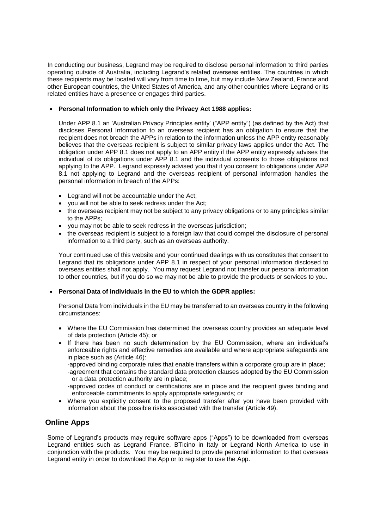In conducting our business, Legrand may be required to disclose personal information to third parties operating outside of Australia, including Legrand's related overseas entities. The countries in which these recipients may be located will vary from time to time, but may include New Zealand, France and other European countries, the United States of America, and any other countries where Legrand or its related entities have a presence or engages third parties.

#### • **Personal Information to which only the Privacy Act 1988 applies:**

Under APP 8.1 an 'Australian Privacy Principles entity' ("APP entity") (as defined by the Act) that discloses Personal Information to an overseas recipient has an obligation to ensure that the recipient does not breach the APPs in relation to the information unless the APP entity reasonably believes that the overseas recipient is subject to similar privacy laws applies under the Act. The obligation under APP 8.1 does not apply to an APP entity if the APP entity expressly advises the individual of its obligations under APP 8.1 and the individual consents to those obligations not applying to the APP. Legrand expressly advised you that if you consent to obligations under APP 8.1 not applying to Legrand and the overseas recipient of personal information handles the personal information in breach of the APPs:

- Legrand will not be accountable under the Act;
- you will not be able to seek redress under the Act;
- the overseas recipient may not be subject to any privacy obligations or to any principles similar to the APPs;
- you may not be able to seek redress in the overseas jurisdiction;
- the overseas recipient is subject to a foreign law that could compel the disclosure of personal information to a third party, such as an overseas authority.

Your continued use of this website and your continued dealings with us constitutes that consent to Legrand that its obligations under APP 8.1 in respect of your personal information disclosed to overseas entities shall not apply. You may request Legrand not transfer our personal information to other countries, but if you do so we may not be able to provide the products or services to you.

#### • **Personal Data of individuals in the EU to which the GDPR applies:**

Personal Data from individuals in the EU may be transferred to an overseas country in the following circumstances:

- Where the EU Commission has determined the overseas country provides an adequate level of data protection (Article 45); or
- If there has been no such determination by the EU Commission, where an individual's enforceable rights and effective remedies are available and where appropriate safeguards are in place such as (Article 46):

-approved binding corporate rules that enable transfers within a corporate group are in place;

- -agreement that contains the standard data protection clauses adopted by the EU Commission or a data protection authority are in place;
- -approved codes of conduct or certifications are in place and the recipient gives binding and enforceable commitments to apply appropriate safeguards; or
- Where you explicitly consent to the proposed transfer after you have been provided with information about the possible risks associated with the transfer (Article 49).

## **Online Apps**

Some of Legrand's products may require software apps ("Apps") to be downloaded from overseas Legrand entities such as Legrand France, BTicino in Italy or Legrand North America to use in conjunction with the products. You may be required to provide personal information to that overseas Legrand entity in order to download the App or to register to use the App.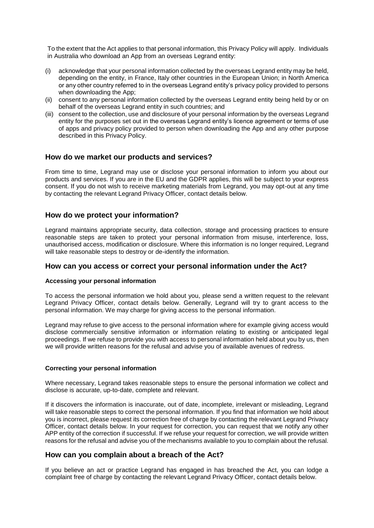To the extent that the Act applies to that personal information, this Privacy Policy will apply. Individuals in Australia who download an App from an overseas Legrand entity:

- (i) acknowledge that your personal information collected by the overseas Legrand entity may be held, depending on the entity, in France, Italy other countries in the European Union; in North America or any other country referred to in the overseas Legrand entity's privacy policy provided to persons when downloading the App;
- (ii) consent to any personal information collected by the overseas Legrand entity being held by or on behalf of the overseas Legrand entity in such countries; and
- (iii) consent to the collection, use and disclosure of your personal information by the overseas Legrand entity for the purposes set out in the overseas Legrand entity's licence agreement or terms of use of apps and privacy policy provided to person when downloading the App and any other purpose described in this Privacy Policy.

## **How do we market our products and services?**

From time to time, Legrand may use or disclose your personal information to inform you about our products and services. If you are in the EU and the GDPR applies, this will be subject to your express consent. If you do not wish to receive marketing materials from Legrand, you may opt-out at any time by contacting the relevant Legrand Privacy Officer, contact details below.

## **How do we protect your information?**

Legrand maintains appropriate security, data collection, storage and processing practices to ensure reasonable steps are taken to protect your personal information from misuse, interference, loss, unauthorised access, modification or disclosure. Where this information is no longer required, Legrand will take reasonable steps to destroy or de-identify the information.

#### **How can you access or correct your personal information under the Act?**

#### **Accessing your personal information**

To access the personal information we hold about you, please send a written request to the relevant Legrand Privacy Officer, contact details below. Generally, Legrand will try to grant access to the personal information. We may charge for giving access to the personal information.

Legrand may refuse to give access to the personal information where for example giving access would disclose commercially sensitive information or information relating to existing or anticipated legal proceedings. If we refuse to provide you with access to personal information held about you by us, then we will provide written reasons for the refusal and advise you of available avenues of redress.

#### **Correcting your personal information**

Where necessary, Legrand takes reasonable steps to ensure the personal information we collect and disclose is accurate, up-to-date, complete and relevant.

If it discovers the information is inaccurate, out of date, incomplete, irrelevant or misleading, Legrand will take reasonable steps to correct the personal information. If you find that information we hold about you is incorrect, please request its correction free of charge by contacting the relevant Legrand Privacy Officer, contact details below. In your request for correction, you can request that we notify any other APP entity of the correction if successful. If we refuse your request for correction, we will provide written reasons for the refusal and advise you of the mechanisms available to you to complain about the refusal.

## **How can you complain about a breach of the Act?**

If you believe an act or practice Legrand has engaged in has breached the Act, you can lodge a complaint free of charge by contacting the relevant Legrand Privacy Officer, contact details below.